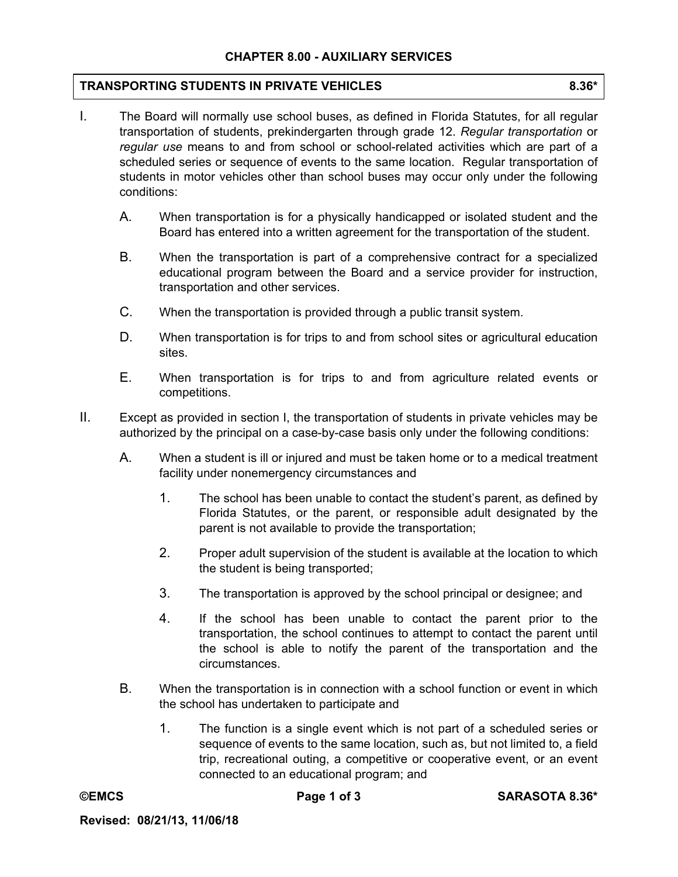## **CHAPTER 8.00 - AUXILIARY SERVICES**

## **TRANSPORTING STUDENTS IN PRIVATE VEHICLES 8.36\***

- I. The Board will normally use school buses, as defined in Florida Statutes, for all regular transportation of students, prekindergarten through grade 12. *Regular transportation* or *regular use* means to and from school or school-related activities which are part of a scheduled series or sequence of events to the same location. Regular transportation of students in motor vehicles other than school buses may occur only under the following conditions:
	- A. When transportation is for a physically handicapped or isolated student and the Board has entered into a written agreement for the transportation of the student.
	- B. When the transportation is part of a comprehensive contract for a specialized educational program between the Board and a service provider for instruction, transportation and other services.
	- C. When the transportation is provided through a public transit system.
	- D. When transportation is for trips to and from school sites or agricultural education sites.
	- E. When transportation is for trips to and from agriculture related events or competitions.
- II. Except as provided in section I, the transportation of students in private vehicles may be authorized by the principal on a case-by-case basis only under the following conditions:
	- A. When a student is ill or injured and must be taken home or to a medical treatment facility under nonemergency circumstances and
		- 1. The school has been unable to contact the student's parent, as defined by Florida Statutes, or the parent, or responsible adult designated by the parent is not available to provide the transportation;
		- 2. Proper adult supervision of the student is available at the location to which the student is being transported;
		- 3. The transportation is approved by the school principal or designee; and
		- 4. If the school has been unable to contact the parent prior to the transportation, the school continues to attempt to contact the parent until the school is able to notify the parent of the transportation and the circumstances.
	- B. When the transportation is in connection with a school function or event in which the school has undertaken to participate and
		- 1. The function is a single event which is not part of a scheduled series or sequence of events to the same location, such as, but not limited to, a field trip, recreational outing, a competitive or cooperative event, or an event connected to an educational program; and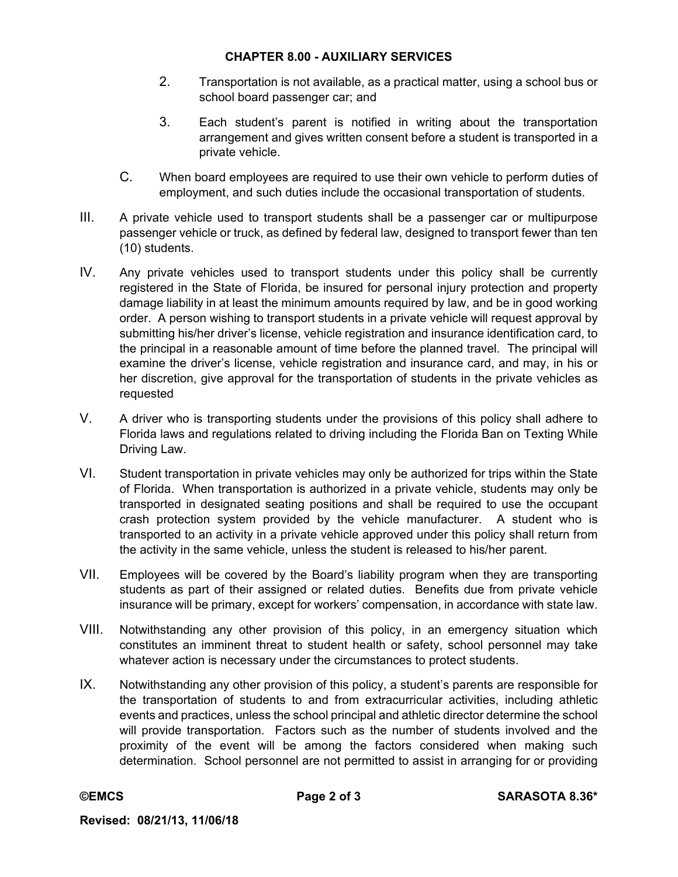## **CHAPTER 8.00 - AUXILIARY SERVICES**

- 2. Transportation is not available, as a practical matter, using a school bus or school board passenger car; and
- 3. Each student's parent is notified in writing about the transportation arrangement and gives written consent before a student is transported in a private vehicle.
- C. When board employees are required to use their own vehicle to perform duties of employment, and such duties include the occasional transportation of students.
- III. A private vehicle used to transport students shall be a passenger car or multipurpose passenger vehicle or truck, as defined by federal law, designed to transport fewer than ten (10) students.
- IV. Any private vehicles used to transport students under this policy shall be currently registered in the State of Florida, be insured for personal injury protection and property damage liability in at least the minimum amounts required by law, and be in good working order. A person wishing to transport students in a private vehicle will request approval by submitting his/her driver's license, vehicle registration and insurance identification card, to the principal in a reasonable amount of time before the planned travel. The principal will examine the driver's license, vehicle registration and insurance card, and may, in his or her discretion, give approval for the transportation of students in the private vehicles as requested
- V. A driver who is transporting students under the provisions of this policy shall adhere to Florida laws and regulations related to driving including the Florida Ban on Texting While Driving Law.
- VI. Student transportation in private vehicles may only be authorized for trips within the State of Florida. When transportation is authorized in a private vehicle, students may only be transported in designated seating positions and shall be required to use the occupant crash protection system provided by the vehicle manufacturer. A student who is transported to an activity in a private vehicle approved under this policy shall return from the activity in the same vehicle, unless the student is released to his/her parent.
- VII. Employees will be covered by the Board's liability program when they are transporting students as part of their assigned or related duties. Benefits due from private vehicle insurance will be primary, except for workers' compensation, in accordance with state law.
- VIII. Notwithstanding any other provision of this policy, in an emergency situation which constitutes an imminent threat to student health or safety, school personnel may take whatever action is necessary under the circumstances to protect students.
- IX. Notwithstanding any other provision of this policy, a student's parents are responsible for the transportation of students to and from extracurricular activities, including athletic events and practices, unless the school principal and athletic director determine the school will provide transportation. Factors such as the number of students involved and the proximity of the event will be among the factors considered when making such determination. School personnel are not permitted to assist in arranging for or providing